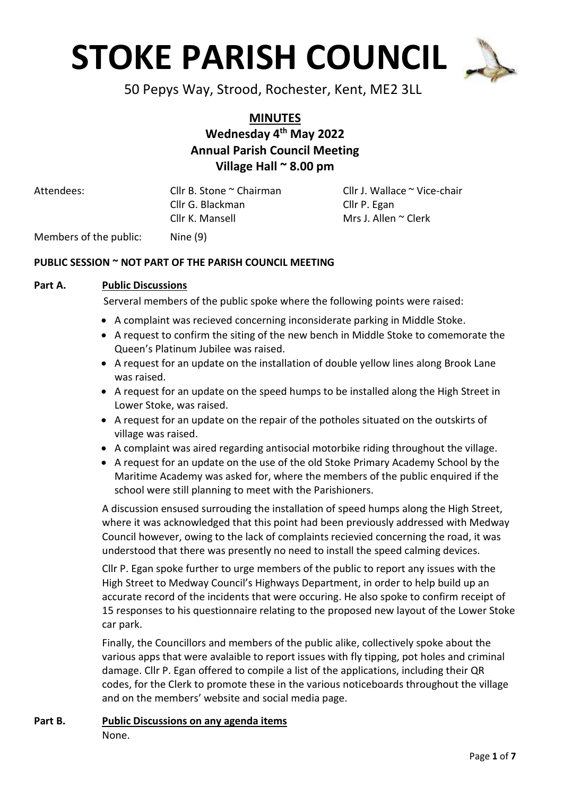

50 Pepys Way, Strood, Rochester, Kent, ME2 3LL

### **MINUTES Wednesday 4 th May 2022 Annual Parish Council Meeting Village Hall ~ 8.00 pm**

Cllr G. Blackman Cllr P. Egan Cllr K. Mansell **Mrs J. Allen ~ Clerk** 

Attendees: Cllr B. Stone ~ Chairman Cllr J. Wallace ~ Vice-chair

Members of the public: Nine (9)

#### **PUBLIC SESSION ~ NOT PART OF THE PARISH COUNCIL MEETING**

#### **Part A. Public Discussions**

Serveral members of the public spoke where the following points were raised:

- A complaint was recieved concerning inconsiderate parking in Middle Stoke.
- A request to confirm the siting of the new bench in Middle Stoke to comemorate the Queen's Platinum Jubilee was raised.
- A request for an update on the installation of double yellow lines along Brook Lane was raised.
- A request for an update on the speed humps to be installed along the High Street in Lower Stoke, was raised.
- A request for an update on the repair of the potholes situated on the outskirts of village was raised.
- A complaint was aired regarding antisocial motorbike riding throughout the village.
- A request for an update on the use of the old Stoke Primary Academy School by the Maritime Academy was asked for, where the members of the public enquired if the school were still planning to meet with the Parishioners.

A discussion ensused surrouding the installation of speed humps along the High Street, where it was acknowledged that this point had been previously addressed with Medway Council however, owing to the lack of complaints recievied concerning the road, it was understood that there was presently no need to install the speed calming devices.

Cllr P. Egan spoke further to urge members of the public to report any issues with the High Street to Medway Council's Highways Department, in order to help build up an accurate record of the incidents that were occuring. He also spoke to confirm receipt of 15 responses to his questionnaire relating to the proposed new layout of the Lower Stoke car park.

Finally, the Councillors and members of the public alike, collectively spoke about the various apps that were avalaible to report issues with fly tipping, pot holes and criminal damage. Cllr P. Egan offered to compile a list of the applications, including their QR codes, for the Clerk to promote these in the various noticeboards throughout the village and on the members' website and social media page.

## **Part B. Public Discussions on any agenda items**

None.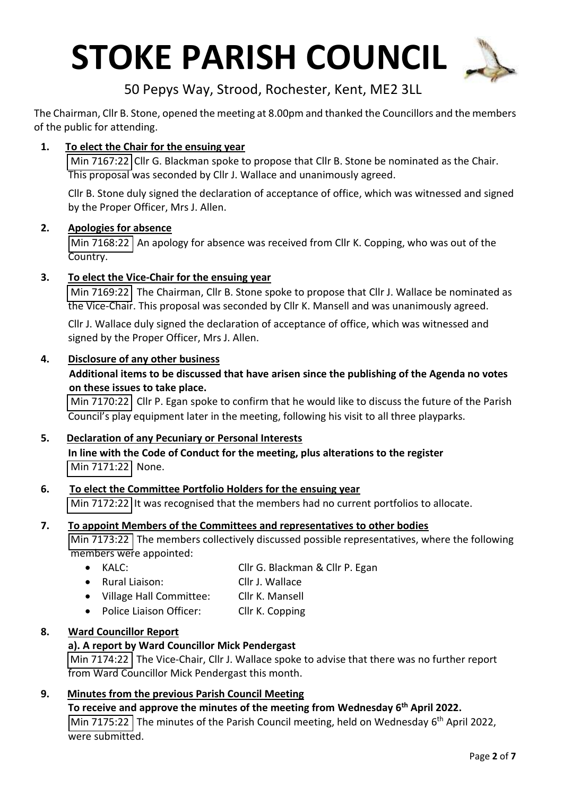

50 Pepys Way, Strood, Rochester, Kent, ME2 3LL

The Chairman, Cllr B. Stone, opened the meeting at 8.00pm and thanked the Councillors and the members of the public for attending.

### **1. To elect the Chair for the ensuing year**

Min 7167:22 Cllr G. Blackman spoke to propose that Cllr B. Stone be nominated as the Chair. This proposal was seconded by Cllr J. Wallace and unanimously agreed.

Cllr B. Stone duly signed the declaration of acceptance of office, which was witnessed and signed by the Proper Officer, Mrs J. Allen.

#### **2. Apologies for absence**

Min 7168:22An apology for absence was received from Cllr K. Copping, who was out of the Country.

#### **3. To elect the Vice-Chair for the ensuing year**

Min 7169:22The Chairman, Cllr B. Stone spoke to propose that Cllr J. Wallace be nominated as the Vice-Chair. This proposal was seconded by Cllr K. Mansell and was unanimously agreed.

Cllr J. Wallace duly signed the declaration of acceptance of office, which was witnessed and signed by the Proper Officer, Mrs J. Allen.

#### **4. Disclosure of any other business**

#### **Additional items to be discussed that have arisen since the publishing of the Agenda no votes on these issues to take place.**

Min 7170:22 Cllr P. Egan spoke to confirm that he would like to discuss the future of the Parish Council's play equipment later in the meeting, following his visit to all three playparks.

#### **5. Declaration of any Pecuniary or Personal Interests**

**In line with the Code of Conduct for the meeting, plus alterations to the register** | Min 7171:22 | None.

**6. To elect the Committee Portfolio Holders for the ensuing year**  Min 7172:22 It was recognised that the members had no current portfolios to allocate.

#### **7. To appoint Members of the Committees and representatives to other bodies**

Min 7173:22 The members collectively discussed possible representatives, where the following members were appointed:

- KALC: Cllr G. Blackman & Cllr P. Egan
- Rural Liaison: Cllr J. Wallace
- Village Hall Committee: Cllr K. Mansell
- Police Liaison Officer: Cllr K. Copping

#### **8. Ward Councillor Report**

#### **a). A report by Ward Councillor Mick Pendergast**

Min 7174:22 | The Vice-Chair, Cllr J. Wallace spoke to advise that there was no further report from Ward Councillor Mick Pendergast this month.

#### **9. Minutes from the previous Parish Council Meeting**

#### **To receive and approve the minutes of the meeting from Wednesday 6th April 2022.**

|Min 7175:22 | The minutes of the Parish Council meeting, held on Wednesday 6<sup>th</sup> April 2022, were submitted.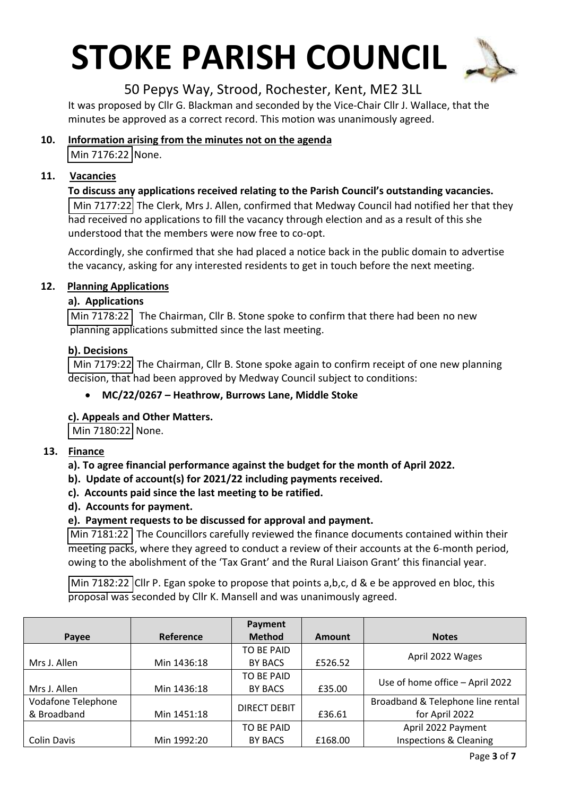

### 50 Pepys Way, Strood, Rochester, Kent, ME2 3LL

It was proposed by Cllr G. Blackman and seconded by the Vice-Chair Cllr J. Wallace, that the minutes be approved as a correct record. This motion was unanimously agreed.

### **10. Information arising from the minutes not on the agenda**

Min 7176:22 None.

#### **11. Vacancies**

#### **To discuss any applications received relating to the Parish Council's outstanding vacancies.**

Min 7177:22 The Clerk, Mrs J. Allen, confirmed that Medway Council had notified her that they had received no applications to fill the vacancy through election and as a result of this she understood that the members were now free to co-opt.

Accordingly, she confirmed that she had placed a notice back in the public domain to advertise the vacancy, asking for any interested residents to get in touch before the next meeting.

#### **12. Planning Applications**

#### **a). Applications**

 $\vert$ Min 7178:22 The Chairman, Cllr B. Stone spoke to confirm that there had been no new planning applications submitted since the last meeting.

#### **b). Decisions**

Min 7179:22 The Chairman, Cllr B. Stone spoke again to confirm receipt of one new planning decision, that had been approved by Medway Council subject to conditions:

#### • **MC/22/0267 – Heathrow, Burrows Lane, Middle Stoke**

#### **c). Appeals and Other Matters.**

Min 7180:22 None.

#### **13. Finance**

- **a). To agree financial performance against the budget for the month of April 2022.**
- **b). Update of account(s) for 2021/22 including payments received.**
- **c). Accounts paid since the last meeting to be ratified.**
- **d). Accounts for payment.**

#### **e). Payment requests to be discussed for approval and payment.**

Min 7181:22 The Councillors carefully reviewed the finance documents contained within their meeting packs, where they agreed to conduct a review of their accounts at the 6-month period, owing to the abolishment of the 'Tax Grant' and the Rural Liaison Grant' this financial year.

Min 7182:22 Cllr P. Egan spoke to propose that points  $a,b,c,d$  & e be approved en bloc, this proposal was seconded by Cllr K. Mansell and was unanimously agreed.

|                    |             | Payment       |               |                                   |
|--------------------|-------------|---------------|---------------|-----------------------------------|
| Payee              | Reference   | <b>Method</b> | <b>Amount</b> | <b>Notes</b>                      |
|                    |             | TO BE PAID    |               |                                   |
| Mrs J. Allen       | Min 1436:18 | BY BACS       | £526.52       | April 2022 Wages                  |
|                    |             | TO BE PAID    |               |                                   |
| Mrs J. Allen       | Min 1436:18 | BY BACS       | £35.00        | Use of home office - April 2022   |
| Vodafone Telephone |             | DIRECT DEBIT  |               | Broadband & Telephone line rental |
| & Broadband        | Min 1451:18 |               | £36.61        | for April 2022                    |
|                    |             | TO BE PAID    |               | April 2022 Payment                |
| Colin Davis        | Min 1992:20 | BY BACS       | £168.00       | Inspections & Cleaning            |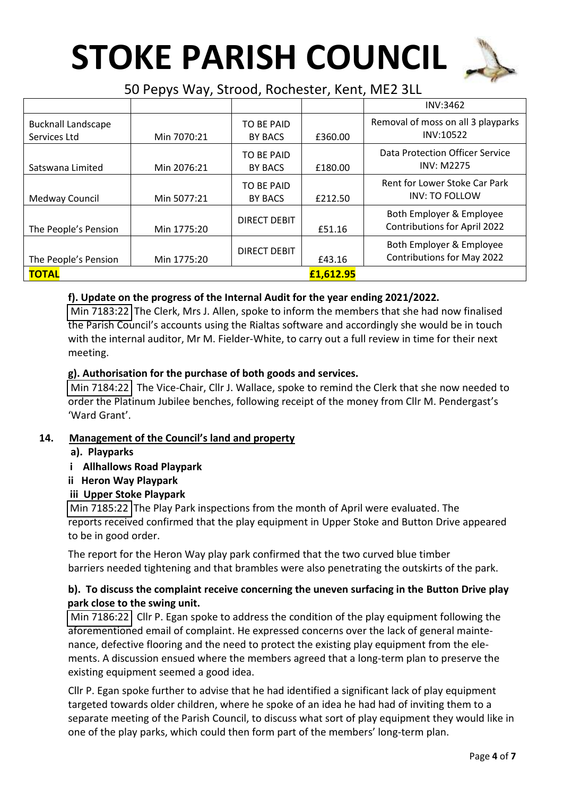

50 Pepys Way, Strood, Rochester, Kent, ME2 3LL

|                                           |             |                              |           | <b>INV:3462</b>                                                 |
|-------------------------------------------|-------------|------------------------------|-----------|-----------------------------------------------------------------|
| <b>Bucknall Landscape</b><br>Services Ltd | Min 7070:21 | TO BE PAID<br>BY BACS        | £360.00   | Removal of moss on all 3 playparks<br>INV:10522                 |
| Satswana Limited                          | Min 2076:21 | TO BE PAID<br>BY BACS        | £180.00   | <b>Data Protection Officer Service</b><br><b>INV: M2275</b>     |
| Medway Council                            | Min 5077:21 | TO BE PAID<br><b>BY BACS</b> | £212.50   | Rent for Lower Stoke Car Park<br>INV: TO FOLLOW                 |
| The People's Pension                      | Min 1775:20 | DIRECT DEBIT                 | £51.16    | Both Employer & Employee<br><b>Contributions for April 2022</b> |
| The People's Pension                      | Min 1775:20 | DIRECT DEBIT                 | £43.16    | Both Employer & Employee<br><b>Contributions for May 2022</b>   |
| <b>TOTAL</b>                              |             |                              | £1,612.95 |                                                                 |

### **f). Update on the progress of the Internal Audit for the year ending 2021/2022.**

Min 7183:22 The Clerk, Mrs J. Allen, spoke to inform the members that she had now finalised the Parish Council's accounts using the Rialtas software and accordingly she would be in touch with the internal auditor, Mr M. Fielder-White, to carry out a full review in time for their next meeting.

#### **g). Authorisation for the purchase of both goods and services.**

Min 7184:22 The Vice-Chair, Cllr J. Wallace, spoke to remind the Clerk that she now needed to order the Platinum Jubilee benches, following receipt of the money from Cllr M. Pendergast's 'Ward Grant'.

#### **14. Management of the Council's land and property**

#### **a). Playparks**

- **i Allhallows Road Playpark**
- **ii Heron Way Playpark**

#### **iii Upper Stoke Playpark**

Min 7185:22 The Play Park inspections from the month of April were evaluated. The reports received confirmed that the play equipment in Upper Stoke and Button Drive appeared to be in good order.

The report for the Heron Way play park confirmed that the two curved blue timber barriers needed tightening and that brambles were also penetrating the outskirts of the park.

#### **b). To discuss the complaint receive concerning the uneven surfacing in the Button Drive play park close to the swing unit.**

Min 7186:22 Cllr P. Egan spoke to address the condition of the play equipment following the aforementioned email of complaint. He expressed concerns over the lack of general maintenance, defective flooring and the need to protect the existing play equipment from the elements. A discussion ensued where the members agreed that a long-term plan to preserve the existing equipment seemed a good idea.

Cllr P. Egan spoke further to advise that he had identified a significant lack of play equipment targeted towards older children, where he spoke of an idea he had had of inviting them to a separate meeting of the Parish Council, to discuss what sort of play equipment they would like in one of the play parks, which could then form part of the members' long-term plan.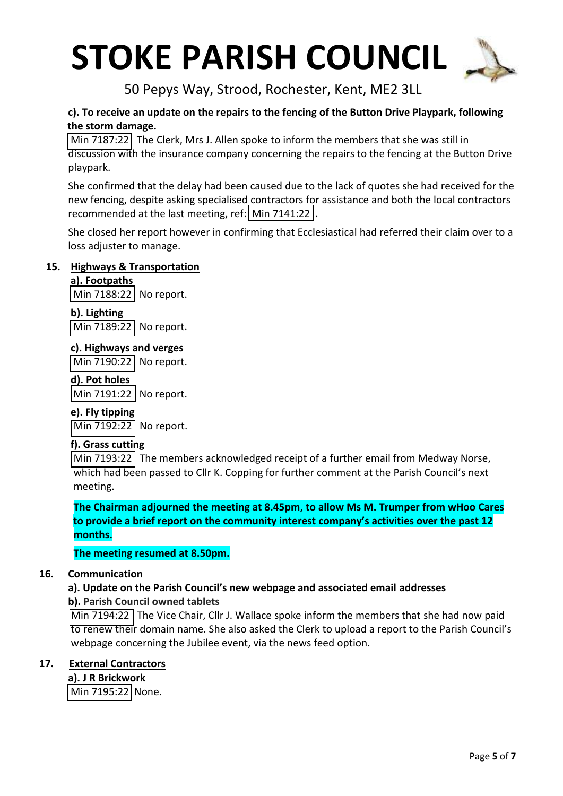

50 Pepys Way, Strood, Rochester, Kent, ME2 3LL

#### **c). To receive an update on the repairs to the fencing of the Button Drive Playpark, following the storm damage.**

Min 7187:22 The Clerk, Mrs J. Allen spoke to inform the members that she was still in discussion with the insurance company concerning the repairs to the fencing at the Button Drive playpark.

She confirmed that the delay had been caused due to the lack of quotes she had received for the new fencing, despite asking specialised contractors for assistance and both the local contractors recommended at the last meeting, ref:  $\vert$  Min 7141:22.

She closed her report however in confirming that Ecclesiastical had referred their claim over to a loss adjuster to manage.

#### **15. Highways & Transportation**

#### **a). Footpaths**

Min 7188:22 No report.

### **b). Lighting**

Min 7189:22 No report.

#### **c). Highways and verges**

| Min 7190:22 | No report.

#### **d). Pot holes**

Min 7191:22 | No report.

#### **e). Fly tipping**

Min 7192:22 No report.

#### **f). Grass cutting**

Min 7193:22 The members acknowledged receipt of a further email from Medway Norse, which had been passed to Cllr K. Copping for further comment at the Parish Council's next meeting.

**The Chairman adjourned the meeting at 8.45pm, to allow Ms M. Trumper from wHoo Cares to provide a brief report on the community interest company's activities over the past 12 months.**

#### **The meeting resumed at 8.50pm.**

#### **16. Communication**

## **a). Update on the Parish Council's new webpage and associated email addresses**

#### **b). Parish Council owned tablets**

Min 7194:22 The Vice Chair, Cllr J. Wallace spoke inform the members that she had now paid to renew their domain name. She also asked the Clerk to upload a report to the Parish Council's webpage concerning the Jubilee event, via the news feed option.

#### **17. External Contractors**

**a). J R Brickwork** Min 7195:22 None.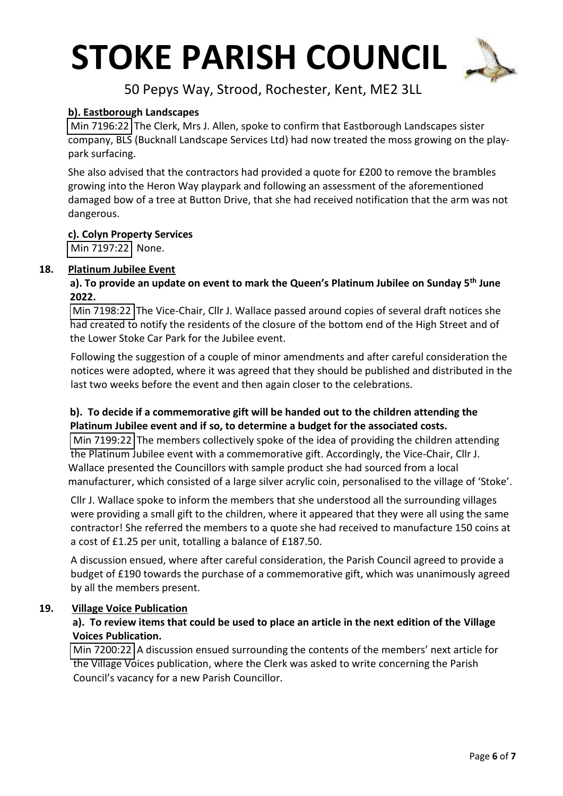

50 Pepys Way, Strood, Rochester, Kent, ME2 3LL

#### **b). Eastborough Landscapes**

Min 7196:22 The Clerk, Mrs J. Allen, spoke to confirm that Eastborough Landscapes sister company, BLS (Bucknall Landscape Services Ltd) had now treated the moss growing on the playpark surfacing.

She also advised that the contractors had provided a quote for £200 to remove the brambles growing into the Heron Way playpark and following an assessment of the aforementioned damaged bow of a tree at Button Drive, that she had received notification that the arm was not dangerous.

#### **c). Colyn Property Services**

Min 7197:22 None.

#### **18. Platinum Jubilee Event**

 **a). To provide an update on event to mark the Queen's Platinum Jubilee on Sunday 5th June 2022.**

 Min 7198:22 The Vice-Chair, Cllr J. Wallace passed around copies of several draft notices she had created to notify the residents of the closure of the bottom end of the High Street and of the Lower Stoke Car Park for the Jubilee event.

Following the suggestion of a couple of minor amendments and after careful consideration the notices were adopted, where it was agreed that they should be published and distributed in the last two weeks before the event and then again closer to the celebrations.

#### **b). To decide if a commemorative gift will be handed out to the children attending the Platinum Jubilee event and if so, to determine a budget for the associated costs.**

 Min 7199:22 The members collectively spoke of the idea of providing the children attending the Platinum Jubilee event with a commemorative gift. Accordingly, the Vice-Chair, Cllr J. Wallace presented the Councillors with sample product she had sourced from a local manufacturer, which consisted of a large silver acrylic coin, personalised to the village of 'Stoke'.

Cllr J. Wallace spoke to inform the members that she understood all the surrounding villages were providing a small gift to the children, where it appeared that they were all using the same contractor! She referred the members to a quote she had received to manufacture 150 coins at a cost of £1.25 per unit, totalling a balance of £187.50.

A discussion ensued, where after careful consideration, the Parish Council agreed to provide a budget of £190 towards the purchase of a commemorative gift, which was unanimously agreed by all the members present.

#### **19. Village Voice Publication**

#### **a). To review items that could be used to place an article in the next edition of the Village Voices Publication.**

Min 7200:22 A discussion ensued surrounding the contents of the members' next article for the Village Voices publication, where the Clerk was asked to write concerning the Parish Council's vacancy for a new Parish Councillor.